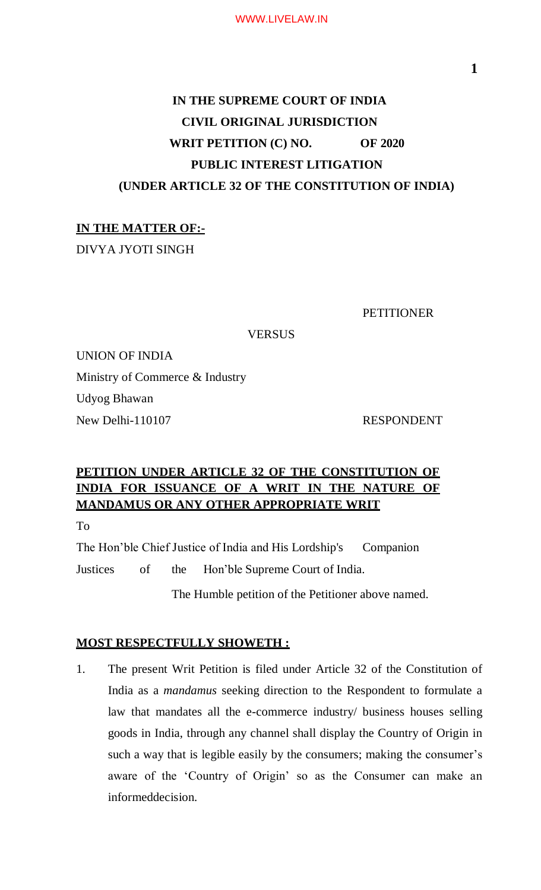# **IN THE SUPREME COURT OF INDIA CIVIL ORIGINAL JURISDICTION WRIT PETITION (C) NO. OF 2020 PUBLIC INTEREST LITIGATION (UNDER ARTICLE 32 OF THE CONSTITUTION OF INDIA)**

## **IN THE MATTER OF:-**

DIVYA JYOTI SINGH

**PETITIONER** 

**VERSUS** 

UNION OF INDIA Ministry of Commerce & Industry Udyog Bhawan New Delhi-110107 RESPONDENT

## **PETITION UNDER ARTICLE 32 OF THE CONSTITUTION OF INDIA FOR ISSUANCE OF A WRIT IN THE NATURE OF MANDAMUS OR ANY OTHER APPROPRIATE WRIT**

To

The Hon'ble Chief Justice of India and His Lordship's Companion Justices of the Hon'ble Supreme Court of India.

The Humble petition of the Petitioner above named.

## **MOST RESPECTFULLY SHOWETH :**

1. The present Writ Petition is filed under Article 32 of the Constitution of India as a *mandamus* seeking direction to the Respondent to formulate a law that mandates all the e-commerce industry/ business houses selling goods in India, through any channel shall display the Country of Origin in such a way that is legible easily by the consumers; making the consumer's aware of the 'Country of Origin' so as the Consumer can make an informeddecision.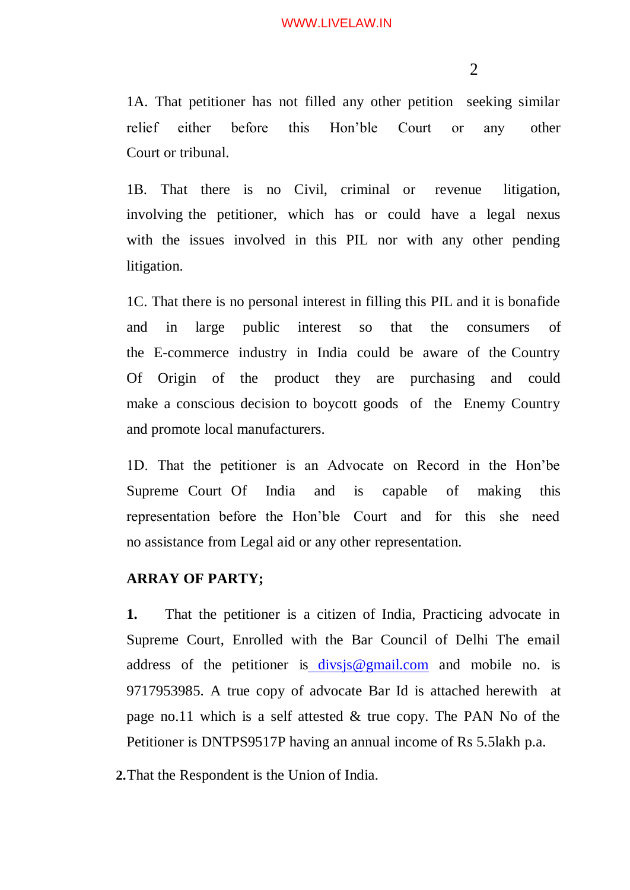2

1A. That petitioner has not filled any other petition seeking similar relief either before this Hon'ble Court or any other Court or tribunal.

1B. That there is no Civil, criminal or revenue litigation, involving the petitioner, which has or could have a legal nexus with the issues involved in this PIL nor with any other pending litigation.

1C. That there is no personal interest in filling this PIL and it is bonafide and in large public interest so that the consumers of the E-commerce industry in India could be aware of the Country Of Origin of the product they are purchasing and could make a conscious decision to boycott goods of the Enemy Country and promote local manufacturers.

1D. That the petitioner is an Advocate on Record in the Hon'be Supreme Court Of India and is capable of making this representation before the Hon'ble Court and for this she need no assistance from Legal aid or any other representation.

### **ARRAY OF PARTY;**

**1.** That the petitioner is a citizen of India, Practicing advocate in Supreme Court, Enrolled with the Bar Council of Delhi The email address of the petitioner is [divsjs@gmail.com](mailto:%20divsjs@gmail.com) and mobile no. is 9717953985. A true copy of advocate Bar Id is attached herewith at page no.11 which is a self attested & true copy. The PAN No of the Petitioner is DNTPS9517P having an annual income of Rs 5.5lakh p.a.

**2.**That the Respondent is the Union of India.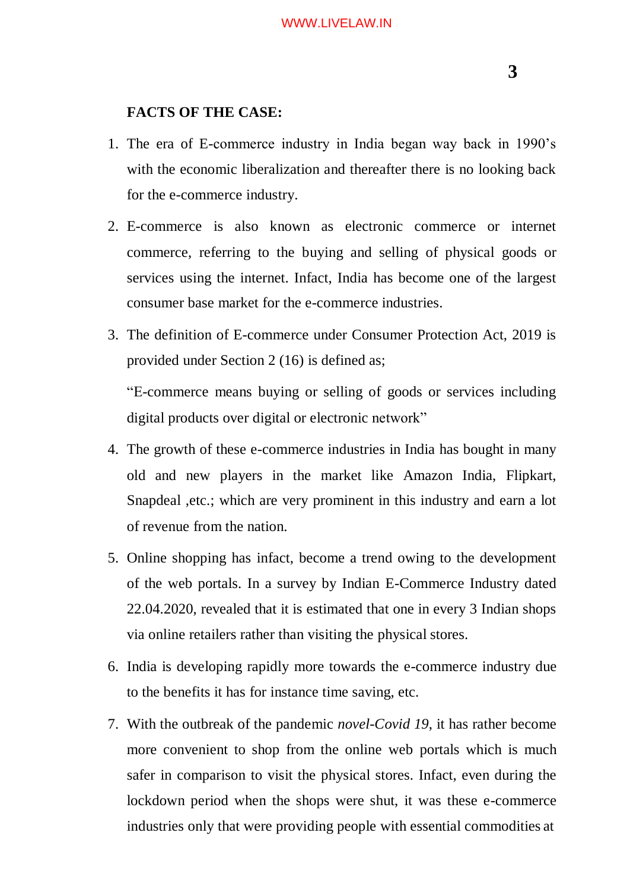## **FACTS OF THE CASE:**

- 1. The era of E-commerce industry in India began way back in 1990's with the economic liberalization and thereafter there is no looking back for the e-commerce industry.
- 2. E-commerce is also known as electronic commerce or internet commerce, referring to the buying and selling of physical goods or services using the internet. Infact, India has become one of the largest consumer base market for the e-commerce industries.
- 3. The definition of E-commerce under Consumer Protection Act, 2019 is provided under Section 2 (16) is defined as; "E-commerce means buying or selling of goods or services including

digital products over digital or electronic network"

- 4. The growth of these e-commerce industries in India has bought in many old and new players in the market like Amazon India, Flipkart, Snapdeal ,etc.; which are very prominent in this industry and earn a lot of revenue from the nation.
- 5. Online shopping has infact, become a trend owing to the development of the web portals. In a survey by Indian E-Commerce Industry dated 22.04.2020, revealed that it is estimated that one in every 3 Indian shops via online retailers rather than visiting the physical stores.
- 6. India is developing rapidly more towards the e-commerce industry due to the benefits it has for instance time saving, etc.
- 7. With the outbreak of the pandemic *novel-Covid 19*, it has rather become more convenient to shop from the online web portals which is much safer in comparison to visit the physical stores. Infact, even during the lockdown period when the shops were shut, it was these e-commerce industries only that were providing people with essential commodities at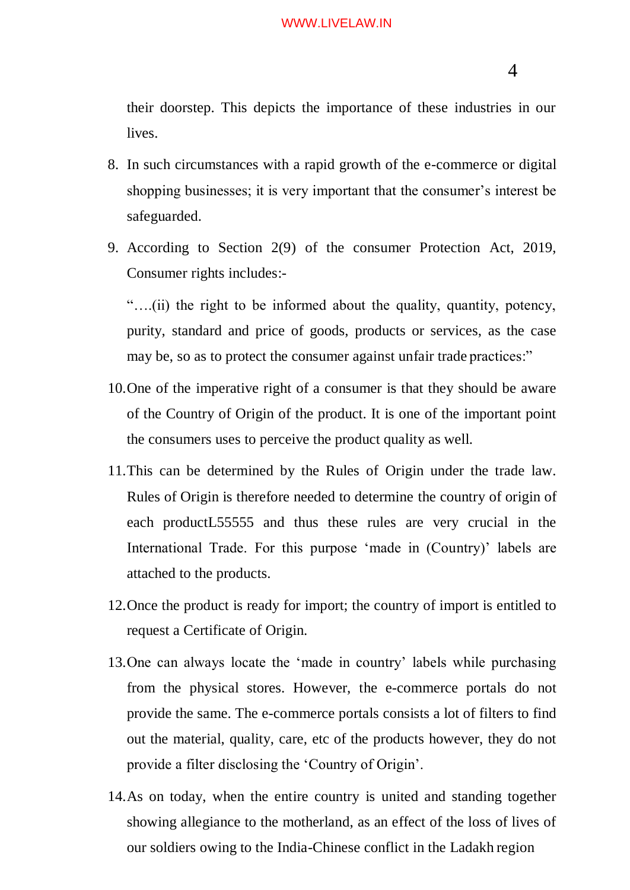their doorstep. This depicts the importance of these industries in our lives.

- 8. In such circumstances with a rapid growth of the e-commerce or digital shopping businesses; it is very important that the consumer's interest be safeguarded.
- 9. According to Section 2(9) of the consumer Protection Act, 2019, Consumer rights includes:-

"….(ii) the right to be informed about the quality, quantity, potency, purity, standard and price of goods, products or services, as the case may be, so as to protect the consumer against unfair trade practices:"

- 10.One of the imperative right of a consumer is that they should be aware of the Country of Origin of the product. It is one of the important point the consumers uses to perceive the product quality as well.
- 11.This can be determined by the Rules of Origin under the trade law. Rules of Origin is therefore needed to determine the country of origin of each productL55555 and thus these rules are very crucial in the International Trade. For this purpose 'made in (Country)' labels are attached to the products.
- 12.Once the product is ready for import; the country of import is entitled to request a Certificate of Origin.
- 13.One can always locate the 'made in country' labels while purchasing from the physical stores. However, the e-commerce portals do not provide the same. The e-commerce portals consists a lot of filters to find out the material, quality, care, etc of the products however, they do not provide a filter disclosing the 'Country of Origin'.
- 14.As on today, when the entire country is united and standing together showing allegiance to the motherland, as an effect of the loss of lives of our soldiers owing to the India-Chinese conflict in the Ladakh region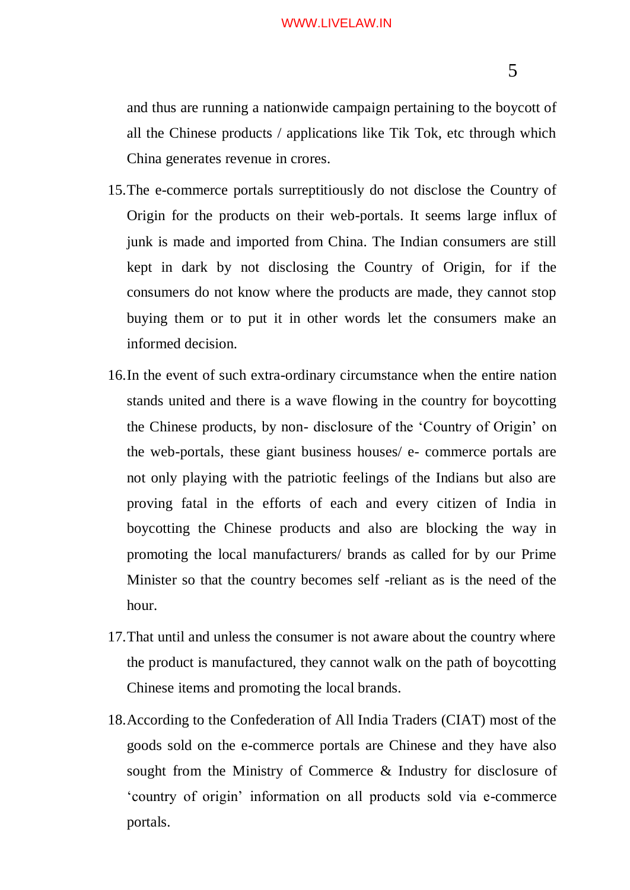and thus are running a nationwide campaign pertaining to the boycott of all the Chinese products / applications like Tik Tok, etc through which China generates revenue in crores.

- 15.The e-commerce portals surreptitiously do not disclose the Country of Origin for the products on their web-portals. It seems large influx of junk is made and imported from China. The Indian consumers are still kept in dark by not disclosing the Country of Origin, for if the consumers do not know where the products are made, they cannot stop buying them or to put it in other words let the consumers make an informed decision.
- 16.In the event of such extra-ordinary circumstance when the entire nation stands united and there is a wave flowing in the country for boycotting the Chinese products, by non- disclosure of the 'Country of Origin' on the web-portals, these giant business houses/ e- commerce portals are not only playing with the patriotic feelings of the Indians but also are proving fatal in the efforts of each and every citizen of India in boycotting the Chinese products and also are blocking the way in promoting the local manufacturers/ brands as called for by our Prime Minister so that the country becomes self -reliant as is the need of the hour.
- 17.That until and unless the consumer is not aware about the country where the product is manufactured, they cannot walk on the path of boycotting Chinese items and promoting the local brands.
- 18.According to the Confederation of All India Traders (CIAT) most of the goods sold on the e-commerce portals are Chinese and they have also sought from the Ministry of Commerce & Industry for disclosure of 'country of origin' information on all products sold via e-commerce portals.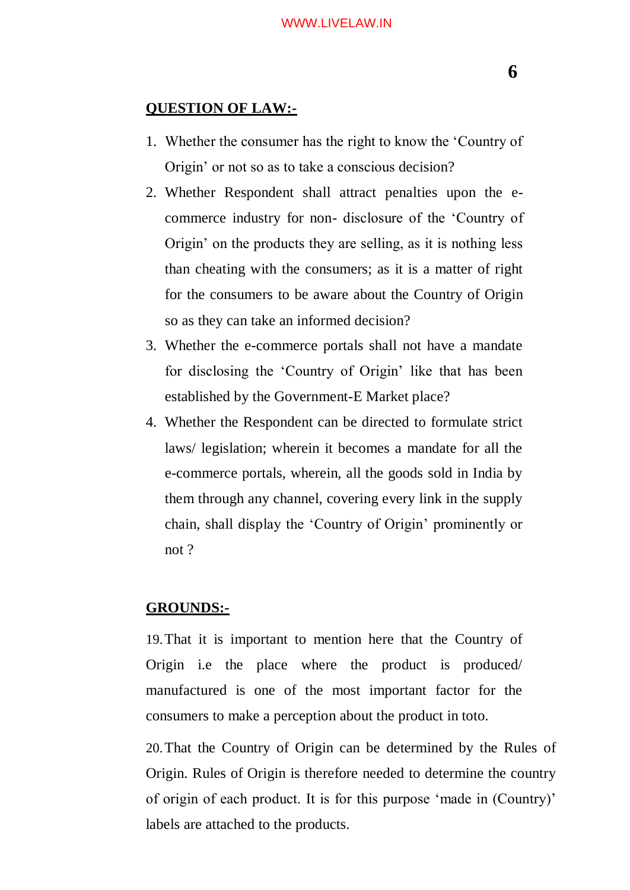## **QUESTION OF LAW:-**

- 1. Whether the consumer has the right to know the 'Country of Origin' or not so as to take a conscious decision?
- 2. Whether Respondent shall attract penalties upon the ecommerce industry for non- disclosure of the 'Country of Origin' on the products they are selling, as it is nothing less than cheating with the consumers; as it is a matter of right for the consumers to be aware about the Country of Origin so as they can take an informed decision?
- 3. Whether the e-commerce portals shall not have a mandate for disclosing the 'Country of Origin' like that has been established by the Government-E Market place?
- 4. Whether the Respondent can be directed to formulate strict laws/ legislation; wherein it becomes a mandate for all the e-commerce portals, wherein, all the goods sold in India by them through any channel, covering every link in the supply chain, shall display the 'Country of Origin' prominently or not ?

## **GROUNDS:-**

19.That it is important to mention here that the Country of Origin i.e the place where the product is produced/ manufactured is one of the most important factor for the consumers to make a perception about the product in toto.

20.That the Country of Origin can be determined by the Rules of Origin. Rules of Origin is therefore needed to determine the country of origin of each product. It is for this purpose 'made in (Country)' labels are attached to the products.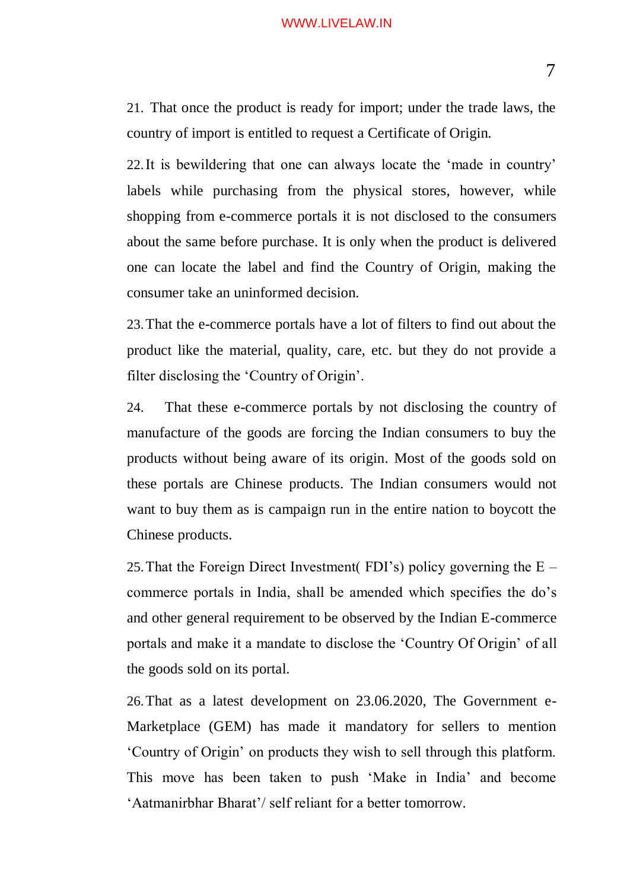21. That once the product is ready for import; under the trade laws, the country of import is entitled to request a Certificate of Origin.

22.It is bewildering that one can always locate the 'made in country' labels while purchasing from the physical stores, however, while shopping from e-commerce portals it is not disclosed to the consumers about the same before purchase. It is only when the product is delivered one can locate the label and find the Country of Origin, making the consumer take an uninformed decision.

23.That the e-commerce portals have a lot of filters to find out about the product like the material, quality, care, etc. but they do not provide a filter disclosing the 'Country of Origin'.

24. That these e-commerce portals by not disclosing the country of manufacture of the goods are forcing the Indian consumers to buy the products without being aware of its origin. Most of the goods sold on these portals are Chinese products. The Indian consumers would not want to buy them as is campaign run in the entire nation to boycott the Chinese products.

25. That the Foreign Direct Investment (FDI's) policy governing the  $E$ commerce portals in India, shall be amended which specifies the do's and other general requirement to be observed by the Indian E-commerce portals and make it a mandate to disclose the 'Country Of Origin' of all the goods sold on its portal.

26.That as a latest development on 23.06.2020, The Government e-Marketplace (GEM) has made it mandatory for sellers to mention 'Country of Origin' on products they wish to sell through this platform. This move has been taken to push 'Make in India' and become 'Aatmanirbhar Bharat'/ self reliant for a better tomorrow.